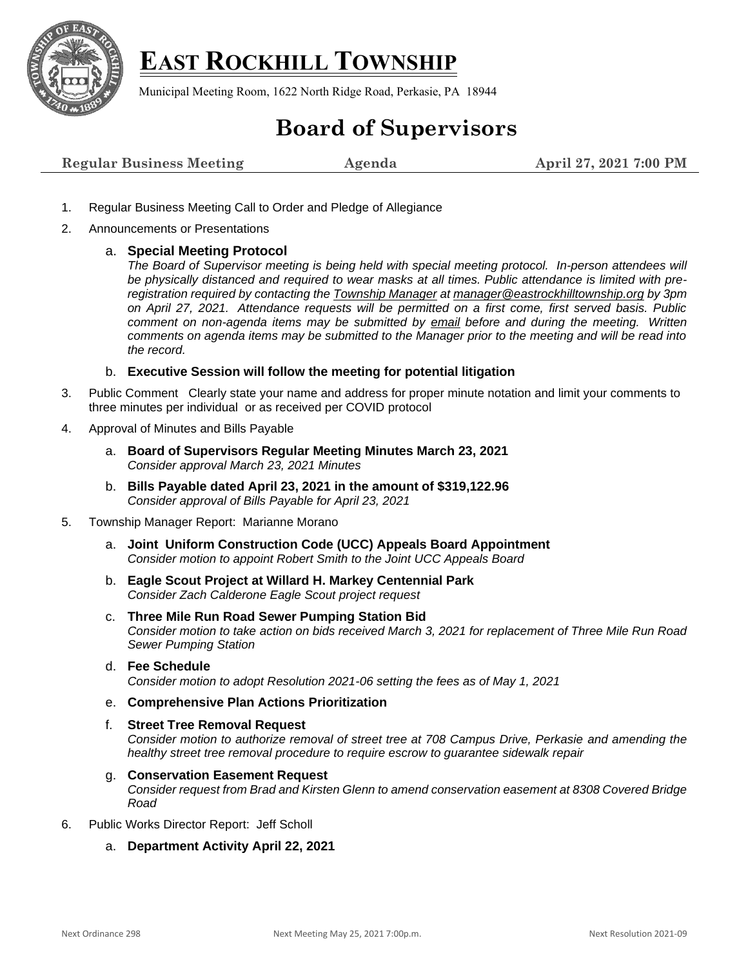

## **EAST ROCKHILL TOWNSHIP**

Municipal Meeting Room, 1622 North Ridge Road, Perkasie, PA 18944

## **Board of Supervisors**

| <b>Regular Business Meeting</b> | Agenda | April 27, 2021 7:00 PM |
|---------------------------------|--------|------------------------|
|---------------------------------|--------|------------------------|

- 1. Regular Business Meeting Call to Order and Pledge of Allegiance
- 2. Announcements or Presentations

## a. **Special Meeting Protocol**

*The Board of Supervisor meeting is being held with special meeting protocol. In-person attendees will be physically distanced and required to wear masks at all times. Public attendance is limited with preregistration required by contacting the [Township Manager](mailto:Manager@EastRockhillTownship.org?subject=Attendance%20Request%203/23/2021%20Supervisor%20Meeting) at [manager@eastrockhilltownship.org](mailto:Manager@EastRockhillTownship.org) by 3pm on April 27, 2021. Attendance requests will be permitted on a first come, first served basis. Public comment on non-agenda items may be submitted by [email](mailto:Manager@EastRockhillTownship.org?subject=Public%20Comment%203/23/2021%20Supervisor%20Meeting) before and during the meeting. Written comments on agenda items may be submitted to the Manager prior to the meeting and will be read into the record.* 

b. **Executive Session will follow the meeting for potential litigation**

- 3. Public Comment Clearly state your name and address for proper minute notation and limit your comments to three minutes per individual or as received per COVID protocol
- 4. Approval of Minutes and Bills Payable
	- a. **Board of Supervisors Regular Meeting Minutes March 23, 2021** *Consider approval March 23, 2021 Minutes*
	- b. **Bills Payable dated April 23, 2021 in the amount of \$319,122.96** *Consider approval of Bills Payable for April 23, 2021*
- 5. Township Manager Report: Marianne Morano
	- a. **Joint Uniform Construction Code (UCC) Appeals Board Appointment** *Consider motion to appoint Robert Smith to the Joint UCC Appeals Board*
	- b. **Eagle Scout Project at Willard H. Markey Centennial Park** *Consider Zach Calderone Eagle Scout project request*
	- c. **Three Mile Run Road Sewer Pumping Station Bid**  *Consider motion to take action on bids received March 3, 2021 for replacement of Three Mile Run Road Sewer Pumping Station*
	- d. **Fee Schedule** *Consider motion to adopt Resolution 2021-06 setting the fees as of May 1, 2021*
	- e. **Comprehensive Plan Actions Prioritization**
	- f. **Street Tree Removal Request**  *Consider motion to authorize removal of street tree at 708 Campus Drive, Perkasie and amending the healthy street tree removal procedure to require escrow to guarantee sidewalk repair*
	- g. **Conservation Easement Request**

*Consider request from Brad and Kirsten Glenn to amend conservation easement at 8308 Covered Bridge Road*

- 6. Public Works Director Report: Jeff Scholl
	- a. **Department Activity April 22, 2021**